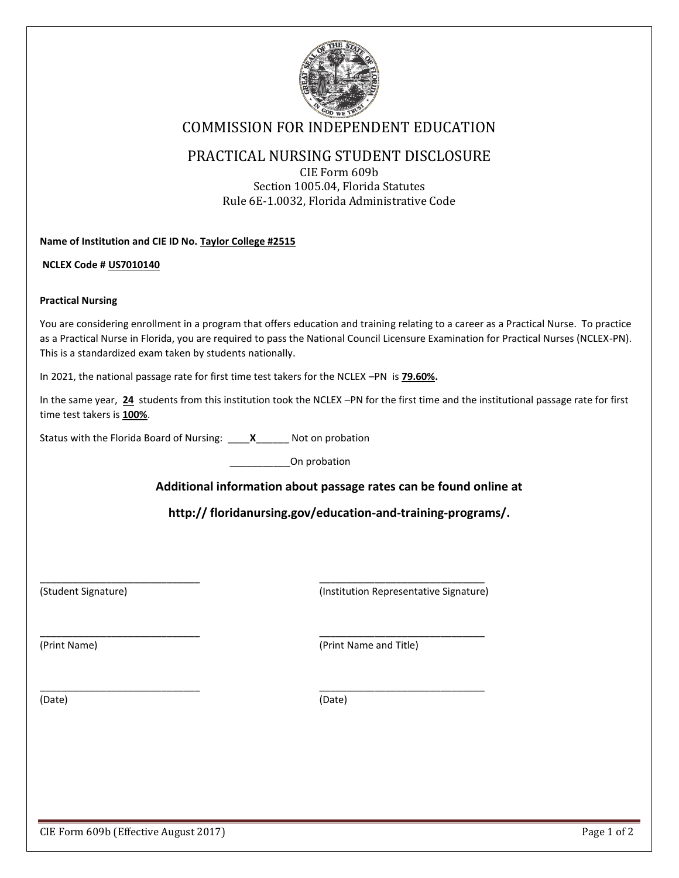

# COMMISSION FOR INDEPENDENT EDUCATION

### PRACTICAL NURSING STUDENT DISCLOSURE

CIE Form 609b Section 1005.04, Florida Statutes Rule 6E-1.0032, Florida Administrative Code

**Name of Institution and CIE ID No. Taylor College #2515**

**NCLEX Code # US7010140**

#### **Practical Nursing**

You are considering enrollment in a program that offers education and training relating to a career as a Practical Nurse. To practice as a Practical Nurse in Florida, you are required to pass the National Council Licensure Examination for Practical Nurses (NCLEX-PN). This is a standardized exam taken by students nationally.

In 2021, the national passage rate for first time test takers for the NCLEX –PN is **79.60%.**

 $\overline{\phantom{a}}$  , and the contribution of the contribution of  $\overline{\phantom{a}}$  , and the contribution of  $\overline{\phantom{a}}$ 

 $\overline{\phantom{a}}$  , and the contribution of the contribution of  $\overline{\phantom{a}}$  , and the contribution of  $\overline{\phantom{a}}$ 

 $\overline{\phantom{a}}$  , and the contribution of the contribution of  $\overline{\phantom{a}}$  , and the contribution of  $\overline{\phantom{a}}$ 

In the same year, **24** students from this institution took the NCLEX –PN for the first time and the institutional passage rate for first time test takers is **100%**.

Status with the Florida Board of Nursing: \_\_\_\_**X**\_\_\_\_\_\_ Not on probation

\_\_\_\_\_\_\_\_\_\_\_On probation

### **Additional information about passage rates can be found online at**

**http:// floridanursing.gov/education-and-training-programs/.**

(Student Signature) (Institution Representative Signature)

(Print Name) (Print Name and Title)

(Date) (Date)

CIE Form 609b (Effective August 2017) Page 1 of 2